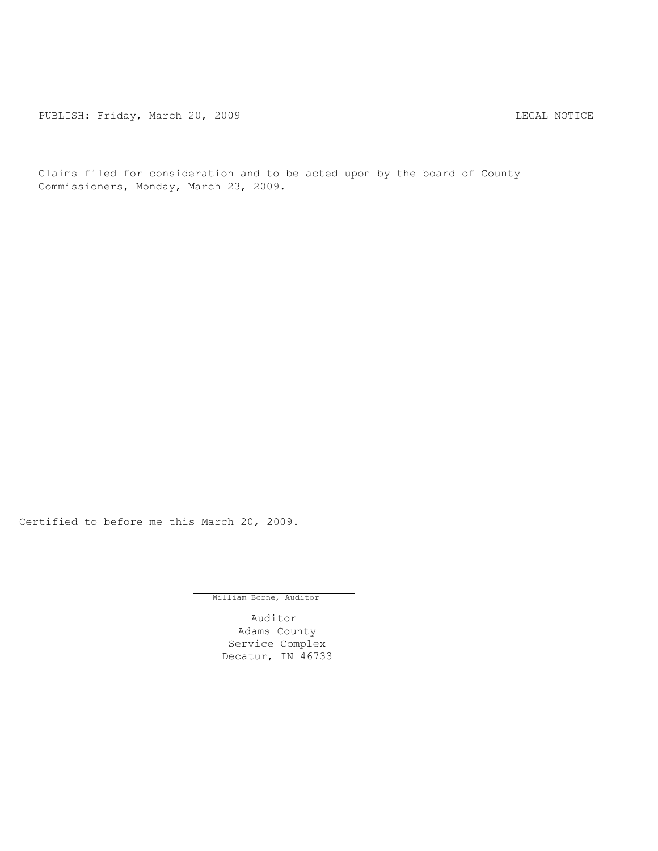PUBLISH: Friday, March 20, 2009 CHA CHANGE CONSTRUCTED AND THE LEGAL NOTICE

Claims filed for consideration and to be acted upon by the board of County Commissioners, Monday, March 23, 2009.

Certified to before me this March 20, 2009.

William Borne, Auditor

Auditor Adams County Service Complex Decatur, IN 46733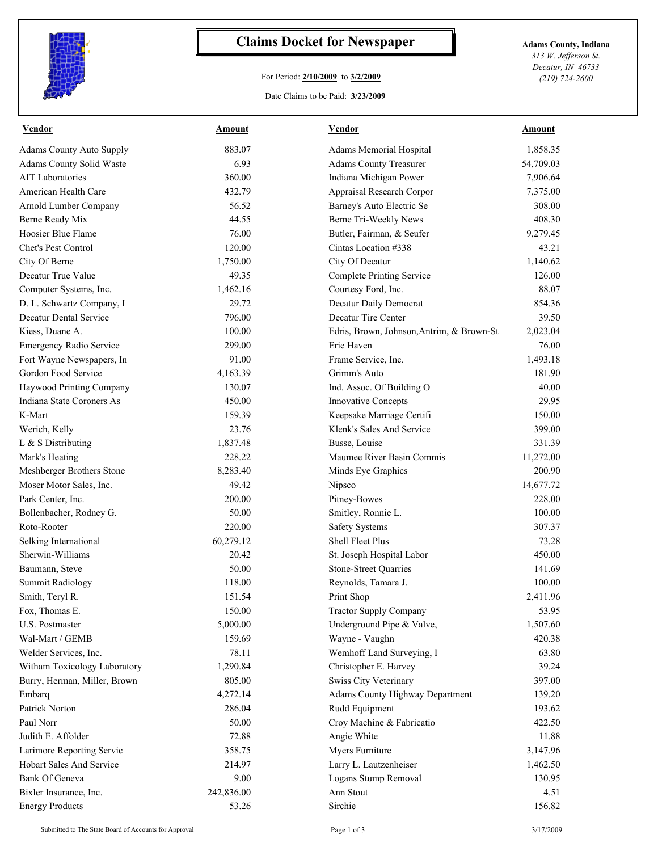

## **Claims Docket for Newspaper Adams County, Indiana**

## For Period: **2/10/2009** to **3/2/2009**

Date Claims to be Paid: **3/23/2009**

*313 W. Jefferson St. Decatur, IN 46733 (219) 724-2600*

| <b>Vendor</b>                   | Amount     | Vendor                                    | Amount    |
|---------------------------------|------------|-------------------------------------------|-----------|
| <b>Adams County Auto Supply</b> | 883.07     | Adams Memorial Hospital                   | 1,858.35  |
| <b>Adams County Solid Waste</b> | 6.93       | <b>Adams County Treasurer</b>             | 54,709.03 |
| <b>AIT Laboratories</b>         | 360.00     | Indiana Michigan Power                    | 7,906.64  |
| American Health Care            | 432.79     | Appraisal Research Corpor                 | 7,375.00  |
| Arnold Lumber Company           | 56.52      | Barney's Auto Electric Se                 | 308.00    |
| Berne Ready Mix                 | 44.55      | Berne Tri-Weekly News                     | 408.30    |
| Hoosier Blue Flame              | 76.00      | Butler, Fairman, & Seufer                 | 9,279.45  |
| Chet's Pest Control             | 120.00     | Cintas Location #338                      | 43.21     |
| City Of Berne                   | 1,750.00   | City Of Decatur                           | 1,140.62  |
| Decatur True Value              | 49.35      | <b>Complete Printing Service</b>          | 126.00    |
| Computer Systems, Inc.          | 1,462.16   | Courtesy Ford, Inc.                       | 88.07     |
| D. L. Schwartz Company, I       | 29.72      | Decatur Daily Democrat                    | 854.36    |
| <b>Decatur Dental Service</b>   | 796.00     | Decatur Tire Center                       | 39.50     |
| Kiess, Duane A.                 | 100.00     | Edris, Brown, Johnson, Antrim, & Brown-St | 2,023.04  |
| <b>Emergency Radio Service</b>  | 299.00     | Erie Haven                                | 76.00     |
| Fort Wayne Newspapers, In       | 91.00      | Frame Service, Inc.                       | 1,493.18  |
| Gordon Food Service             | 4,163.39   | Grimm's Auto                              | 181.90    |
| Haywood Printing Company        | 130.07     | Ind. Assoc. Of Building O                 | 40.00     |
| Indiana State Coroners As       | 450.00     | <b>Innovative Concepts</b>                | 29.95     |
| K-Mart                          | 159.39     | Keepsake Marriage Certifi                 | 150.00    |
| Werich, Kelly                   | 23.76      | Klenk's Sales And Service                 | 399.00    |
| L & S Distributing              | 1,837.48   | Busse, Louise                             | 331.39    |
| Mark's Heating                  | 228.22     | Maumee River Basin Commis                 | 11,272.00 |
| Meshberger Brothers Stone       | 8,283.40   | Minds Eye Graphics                        | 200.90    |
| Moser Motor Sales, Inc.         | 49.42      | Nipsco                                    | 14,677.72 |
| Park Center, Inc.               | 200.00     | Pitney-Bowes                              | 228.00    |
| Bollenbacher, Rodney G.         | 50.00      | Smitley, Ronnie L.                        | 100.00    |
| Roto-Rooter                     | 220.00     | <b>Safety Systems</b>                     | 307.37    |
| Selking International           | 60,279.12  | Shell Fleet Plus                          | 73.28     |
| Sherwin-Williams                | 20.42      | St. Joseph Hospital Labor                 | 450.00    |
| Baumann, Steve                  | 50.00      | <b>Stone-Street Quarries</b>              | 141.69    |
| <b>Summit Radiology</b>         | 118.00     | Reynolds, Tamara J.                       | 100.00    |
| Smith, Teryl R.                 | 151.54     | Print Shop                                | 2,411.96  |
| Fox, Thomas E.                  | 150.00     | <b>Tractor Supply Company</b>             | 53.95     |
| U.S. Postmaster                 | 5,000.00   | Underground Pipe & Valve,                 | 1,507.60  |
| Wal-Mart / GEMB                 | 159.69     | Wayne - Vaughn                            | 420.38    |
| Welder Services, Inc.           | 78.11      | Wemhoff Land Surveying, I                 | 63.80     |
| Witham Toxicology Laboratory    | 1,290.84   | Christopher E. Harvey                     | 39.24     |
| Burry, Herman, Miller, Brown    | 805.00     | Swiss City Veterinary                     | 397.00    |
| Embarg                          | 4,272.14   | <b>Adams County Highway Department</b>    | 139.20    |
| Patrick Norton                  | 286.04     | Rudd Equipment                            | 193.62    |
| Paul Norr                       | 50.00      | Croy Machine & Fabricatio                 | 422.50    |
| Judith E. Affolder              | 72.88      | Angie White                               | 11.88     |
| Larimore Reporting Servic       | 358.75     | Myers Furniture                           | 3,147.96  |
| Hobart Sales And Service        | 214.97     | Larry L. Lautzenheiser                    | 1,462.50  |
| <b>Bank Of Geneva</b>           | 9.00       | Logans Stump Removal                      | 130.95    |
|                                 |            |                                           |           |
| Bixler Insurance, Inc.          | 242,836.00 | Ann Stout                                 | 4.51      |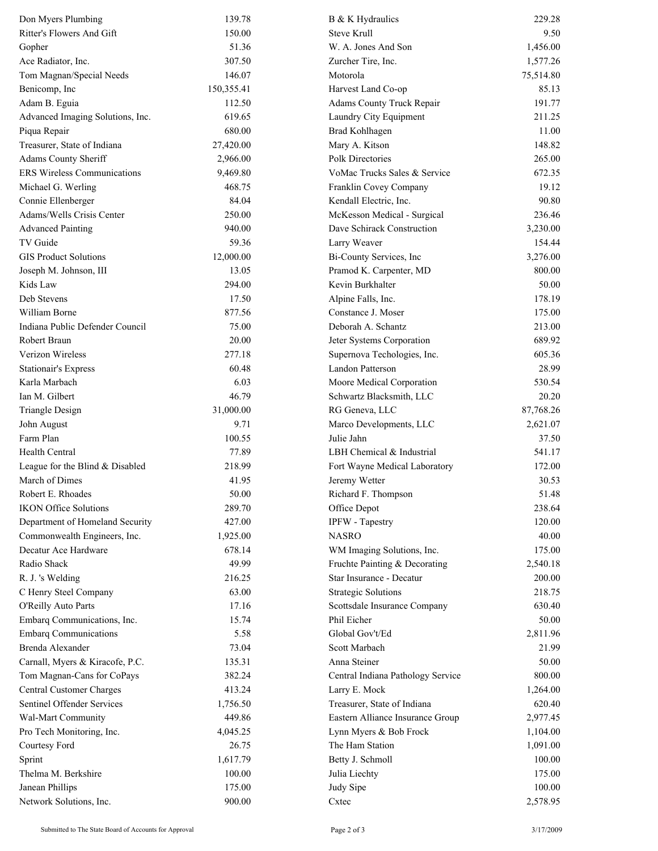| Don Myers Plumbing               | 139.78     | B & K Hydraulics                  | 229.28    |
|----------------------------------|------------|-----------------------------------|-----------|
| Ritter's Flowers And Gift        | 150.00     | <b>Steve Krull</b>                | 9.50      |
| Gopher                           | 51.36      | W. A. Jones And Son               | 1,456.00  |
| Ace Radiator, Inc.               | 307.50     | Zurcher Tire, Inc.                | 1,577.26  |
| Tom Magnan/Special Needs         | 146.07     | Motorola                          | 75,514.80 |
| Benicomp, Inc                    | 150,355.41 | Harvest Land Co-op                | 85.13     |
| Adam B. Eguia                    | 112.50     | Adams County Truck Repair         | 191.77    |
| Advanced Imaging Solutions, Inc. | 619.65     | Laundry City Equipment            | 211.25    |
| Piqua Repair                     | 680.00     | <b>Brad Kohlhagen</b>             | 11.00     |
| Treasurer, State of Indiana      | 27,420.00  | Mary A. Kitson                    | 148.82    |
| Adams County Sheriff             | 2,966.00   | Polk Directories                  | 265.00    |
| ERS Wireless Communications      | 9,469.80   | VoMac Trucks Sales & Service      | 672.35    |
| Michael G. Werling               | 468.75     | Franklin Covey Company            | 19.12     |
| Connie Ellenberger               | 84.04      | Kendall Electric, Inc.            | 90.80     |
| Adams/Wells Crisis Center        | 250.00     | McKesson Medical - Surgical       | 236.46    |
| <b>Advanced Painting</b>         | 940.00     | Dave Schirack Construction        | 3,230.00  |
| TV Guide                         | 59.36      | Larry Weaver                      | 154.44    |
| <b>GIS Product Solutions</b>     | 12,000.00  | Bi-County Services, Inc           | 3,276.00  |
| Joseph M. Johnson, III           | 13.05      | Pramod K. Carpenter, MD           | 800.00    |
| Kids Law                         | 294.00     | Kevin Burkhalter                  | 50.00     |
| Deb Stevens                      | 17.50      | Alpine Falls, Inc.                | 178.19    |
| William Borne                    | 877.56     | Constance J. Moser                | 175.00    |
| Indiana Public Defender Council  | 75.00      | Deborah A. Schantz                | 213.00    |
| Robert Braun                     | 20.00      | Jeter Systems Corporation         | 689.92    |
| Verizon Wireless                 | 277.18     | Supernova Techologies, Inc.       | 605.36    |
| Stationair's Express             | 60.48      | Landon Patterson                  | 28.99     |
| Karla Marbach                    | 6.03       | Moore Medical Corporation         | 530.54    |
| Ian M. Gilbert                   | 46.79      | Schwartz Blacksmith, LLC          | 20.20     |
| <b>Triangle Design</b>           | 31,000.00  | RG Geneva, LLC                    | 87,768.26 |
| John August                      | 9.71       | Marco Developments, LLC           | 2,621.07  |
| Farm Plan                        | 100.55     | Julie Jahn                        | 37.50     |
| Health Central                   | 77.89      | LBH Chemical & Industrial         | 541.17    |
| League for the Blind & Disabled  | 218.99     | Fort Wayne Medical Laboratory     | 172.00    |
| March of Dimes                   | 41.95      | Jeremy Wetter                     | 30.53     |
| Robert E. Rhoades                | 50.00      | Richard F. Thompson               | 51.48     |
| <b>IKON Office Solutions</b>     | 289.70     | Office Depot                      | 238.64    |
| Department of Homeland Security  | 427.00     | IPFW - Tapestry                   | 120.00    |
| Commonwealth Engineers, Inc.     | 1,925.00   | <b>NASRO</b>                      | 40.00     |
| Decatur Ace Hardware             | 678.14     | WM Imaging Solutions, Inc.        | 175.00    |
| Radio Shack                      | 49.99      | Fruchte Painting & Decorating     | 2,540.18  |
| R. J. 's Welding                 | 216.25     | Star Insurance - Decatur          | 200.00    |
| C Henry Steel Company            | 63.00      | <b>Strategic Solutions</b>        | 218.75    |
| O'Reilly Auto Parts              | 17.16      | Scottsdale Insurance Company      | 630.40    |
| Embarq Communications, Inc.      | 15.74      | Phil Eicher                       | 50.00     |
| <b>Embarq Communications</b>     | 5.58       | Global Gov't/Ed                   | 2,811.96  |
| Brenda Alexander                 | 73.04      | Scott Marbach                     | 21.99     |
| Carnall, Myers & Kiracofe, P.C.  | 135.31     | Anna Steiner                      | 50.00     |
| Tom Magnan-Cans for CoPays       | 382.24     | Central Indiana Pathology Service | 800.00    |
| <b>Central Customer Charges</b>  | 413.24     | Larry E. Mock                     | 1,264.00  |
| Sentinel Offender Services       | 1,756.50   | Treasurer, State of Indiana       | 620.40    |
| Wal-Mart Community               | 449.86     | Eastern Alliance Insurance Group  | 2,977.45  |
| Pro Tech Monitoring, Inc.        | 4,045.25   | Lynn Myers & Bob Frock            | 1,104.00  |
| Courtesy Ford                    | 26.75      | The Ham Station                   | 1,091.00  |
| Sprint                           | 1,617.79   | Betty J. Schmoll                  | 100.00    |
| Thelma M. Berkshire              | 100.00     | Julia Liechty                     | 175.00    |
| Janean Phillips                  | 175.00     | Judy Sipe                         | 100.00    |
| Network Solutions, Inc.          | 900.00     | Cxtec                             | 2,578.95  |
|                                  |            |                                   |           |